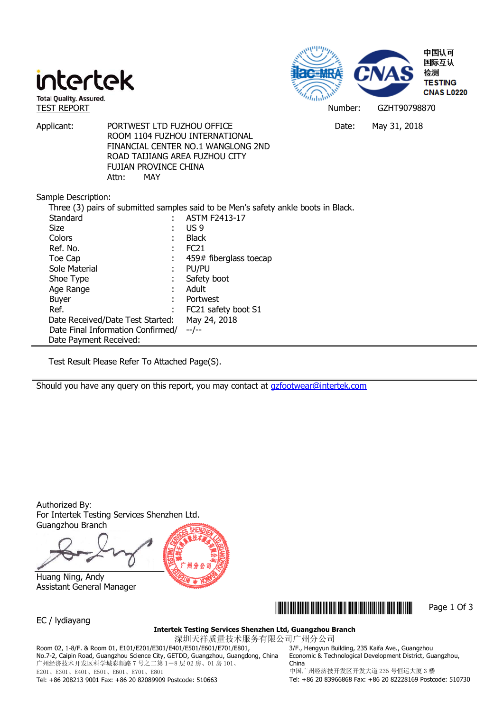



Applicant: PORTWEST LTD FUZHOU OFFICE THE DATE: May 31, 2018 ROOM 1104 FUZHOU INTERNATIONAL FINANCIAL CENTER NO.1 WANGLONG 2ND ROAD TAIJIANG AREA FUZHOU CITY FUJIAN PROVINCE CHINA Attn: MAY

Sample Description:

| Three (3) pairs of submitted samples said to be Men's safety ankle boots in Black. |   |                        |  |  |  |
|------------------------------------------------------------------------------------|---|------------------------|--|--|--|
| Standard                                                                           |   | <b>ASTM F2413-17</b>   |  |  |  |
| Size                                                                               |   | US 9                   |  |  |  |
| Colors                                                                             |   | <b>Black</b>           |  |  |  |
| Ref. No.                                                                           | ÷ | FC <sub>21</sub>       |  |  |  |
| Toe Cap                                                                            | ÷ | 459# fiberglass toecap |  |  |  |
| Sole Material                                                                      |   | PU/PU                  |  |  |  |
| Shoe Type                                                                          |   | Safety boot            |  |  |  |
| Age Range                                                                          |   | Adult                  |  |  |  |
| <b>Buyer</b>                                                                       |   | Portwest               |  |  |  |
| Ref.                                                                               | ٠ | FC21 safety boot S1    |  |  |  |
| Date Received/Date Test Started:                                                   |   | May 24, 2018           |  |  |  |
| Date Final Information Confirmed/                                                  |   | --/--                  |  |  |  |
| Date Payment Received:                                                             |   |                        |  |  |  |

Test Result Please Refer To Attached Page(S).

Should you have any query on this report, you may contact at gzfootwear@intertek.com

Authorized By: For Intertek Testing Services Shenzhen Ltd. Guangzhou Branch

 Huang Ning, Andy Assistant General Manager



EC / lydiayang

### \*GZHT90798870\* Page 1 Of 3

**Intertek Testing Services Shenzhen Ltd, Guangzhou Branch** 

深圳天祥质量技术服务有限公司广州分公司 Room 02, 1-8/F. & Room 01, E101/E201/E301/E401/E501/E601/E701/E801, No.7-2, Caipin Road, Guangzhou Science City, GETDD, Guangzhou, Guangdong, China 广州经济技术开发区科学城彩频路 7 号之二第 1-8 层 02 房、01 房 101、 E201、E301、E401、E501、E601、E701、E801

3/F., Hengyun Building, 235 Kaifa Ave., Guangzhou Economic & Technological Development District, Guangzhou, China 中国广州经济技开发区开发大道 235 号恒运大厦 3 楼

Tel: +86 208213 9001 Fax: +86 20 82089909 Postcode: 510663

Tel: +86 20 83966868 Fax: +86 20 82228169 Postcode: 510730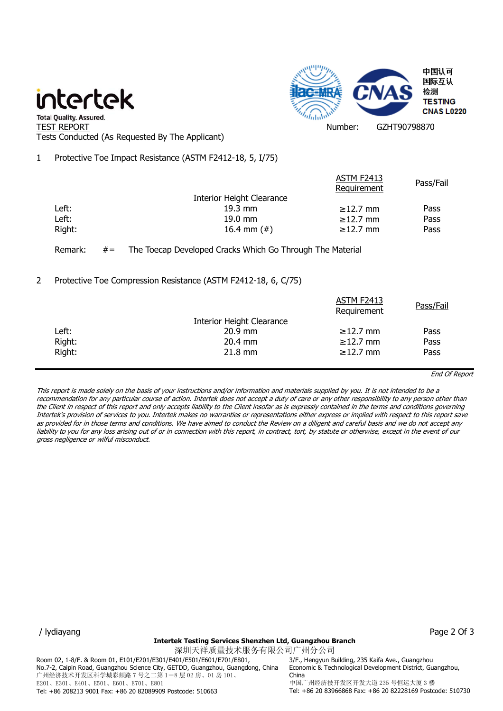## intertek



" Total Quality. Assured.<br>TEST REPORT Number: GZHT90798870 Tests Conducted (As Requested By The Applicant)

1 Protective Toe Impact Resistance (ASTM F2412-18, 5, I/75)

|        |                                  | ASTM F2413<br>Requirement | Pass/Fail |
|--------|----------------------------------|---------------------------|-----------|
|        | <b>Interior Height Clearance</b> |                           |           |
| Left:  | $19.3 \text{ mm}$                | $\geq$ 12.7 mm            | Pass      |
| Left:  | $19.0 \text{ mm}$                | $\geq$ 12.7 mm            | Pass      |
| Right: | 16.4 mm $(\#)$                   | $\geq$ 12.7 mm            | Pass      |
|        |                                  |                           |           |

### Remark: #= The Toecap Developed Cracks Which Go Through The Material

### 2 Protective Toe Compression Resistance (ASTM F2412-18, 6, C/75)

|        |                           | ASTM F2413<br>Requirement | Pass/Fail |
|--------|---------------------------|---------------------------|-----------|
|        | Interior Height Clearance |                           |           |
| Left:  | $20.9$ mm                 | $\geq$ 12.7 mm            | Pass      |
| Right: | $20.4$ mm                 | $\geq$ 12.7 mm            | Pass      |
| Right: | $21.8$ mm                 | $\geq$ 12.7 mm            | Pass      |
|        |                           |                           |           |

End Of Report

This report is made solely on the basis of your instructions and/or information and materials supplied by you. It is not intended to be a recommendation for any particular course of action. Intertek does not accept a duty of care or any other responsibility to any person other than the Client in respect of this report and only accepts liability to the Client insofar as is expressly contained in the terms and conditions governing Intertek's provision of services to you. Intertek makes no warranties or representations either express or implied with respect to this report save as provided for in those terms and conditions. We have aimed to conduct the Review on a diligent and careful basis and we do not accept any liability to you for any loss arising out of or in connection with this report, in contract, tort, by statute or otherwise, except in the event of our gross negligence or wilful misconduct.

/ lydiayang Page 2 Of 3

### **Intertek Testing Services Shenzhen Ltd, Guangzhou Branch**

深圳天祥质量技术服务有限公司广州分公司 Room 02, 1-8/F. & Room 01, E101/E201/E301/E401/E501/E601/E701/E801, No.7-2, Caipin Road, Guangzhou Science City, GETDD, Guangzhou, Guangdong, China 广州经济技术开发区科学城彩频路 7 号之二第 1-8 层 02 房、01 房 101、 E201、E301、E401、E501、E601、E701、E801 Tel: +86 208213 9001 Fax: +86 20 82089909 Postcode: 510663

3/F., Hengyun Building, 235 Kaifa Ave., Guangzhou Economic & Technological Development District, Guangzhou, China 中国广州经济技开发区开发大道 235 号恒运大厦 3 楼 Tel: +86 20 83966868 Fax: +86 20 82228169 Postcode: 510730